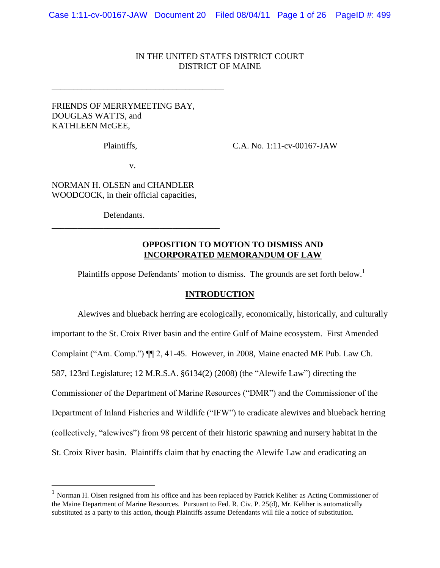# IN THE UNITED STATES DISTRICT COURT DISTRICT OF MAINE

# FRIENDS OF MERRYMEETING BAY, DOUGLAS WATTS, and KATHLEEN McGEE,

\_\_\_\_\_\_\_\_\_\_\_\_\_\_\_\_\_\_\_\_\_\_\_\_\_\_\_\_\_\_\_\_\_\_\_\_\_\_\_\_

Plaintiffs, C.A. No. 1:11-cv-00167-JAW

v.

NORMAN H. OLSEN and CHANDLER WOODCOCK, in their official capacities,

Defendants.

 $\overline{a}$ 

\_\_\_\_\_\_\_\_\_\_\_\_\_\_\_\_\_\_\_\_\_\_\_\_\_\_\_\_\_\_\_\_\_\_\_\_\_\_\_

# **OPPOSITION TO MOTION TO DISMISS AND INCORPORATED MEMORANDUM OF LAW**

Plaintiffs oppose Defendants' motion to dismiss. The grounds are set forth below.<sup>1</sup>

## **INTRODUCTION**

Alewives and blueback herring are ecologically, economically, historically, and culturally important to the St. Croix River basin and the entire Gulf of Maine ecosystem. First Amended Complaint ("Am. Comp.")  $\P$ [2, 41-45. However, in 2008, Maine enacted ME Pub. Law Ch. 587, 123rd Legislature; 12 M.R.S.A. §6134(2) (2008) (the "Alewife Law") directing the Commissioner of the Department of Marine Resources ("DMR") and the Commissioner of the Department of Inland Fisheries and Wildlife ("IFW") to eradicate alewives and blueback herring (collectively, "alewives") from 98 percent of their historic spawning and nursery habitat in the St. Croix River basin. Plaintiffs claim that by enacting the Alewife Law and eradicating an

<sup>&</sup>lt;sup>1</sup> Norman H. Olsen resigned from his office and has been replaced by Patrick Keliher as Acting Commissioner of the Maine Department of Marine Resources. Pursuant to Fed. R. Civ. P. 25(d), Mr. Keliher is automatically substituted as a party to this action, though Plaintiffs assume Defendants will file a notice of substitution.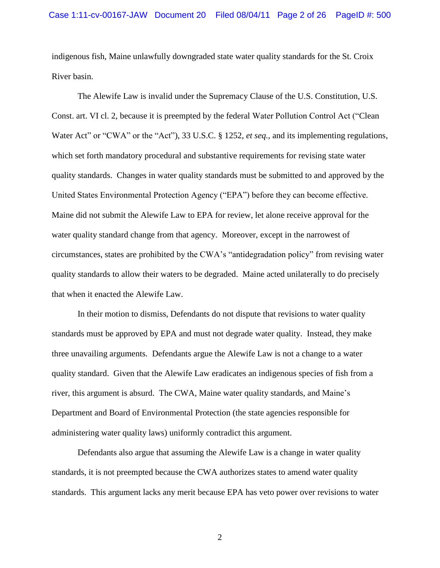indigenous fish, Maine unlawfully downgraded state water quality standards for the St. Croix River basin.

The Alewife Law is invalid under the Supremacy Clause of the U.S. Constitution, U.S. Const. art. VI cl. 2, because it is preempted by the federal Water Pollution Control Act ("Clean" Water Act" or "CWA" or the "Act"), 33 U.S.C. § 1252, *et seq.*, and its implementing regulations, which set forth mandatory procedural and substantive requirements for revising state water quality standards. Changes in water quality standards must be submitted to and approved by the United States Environmental Protection Agency ("EPA") before they can become effective. Maine did not submit the Alewife Law to EPA for review, let alone receive approval for the water quality standard change from that agency. Moreover, except in the narrowest of circumstances, states are prohibited by the CWA's "antidegradation policy" from revising water quality standards to allow their waters to be degraded. Maine acted unilaterally to do precisely that when it enacted the Alewife Law.

In their motion to dismiss, Defendants do not dispute that revisions to water quality standards must be approved by EPA and must not degrade water quality. Instead, they make three unavailing arguments. Defendants argue the Alewife Law is not a change to a water quality standard. Given that the Alewife Law eradicates an indigenous species of fish from a river, this argument is absurd. The CWA, Maine water quality standards, and Maine's Department and Board of Environmental Protection (the state agencies responsible for administering water quality laws) uniformly contradict this argument.

Defendants also argue that assuming the Alewife Law is a change in water quality standards, it is not preempted because the CWA authorizes states to amend water quality standards. This argument lacks any merit because EPA has veto power over revisions to water

2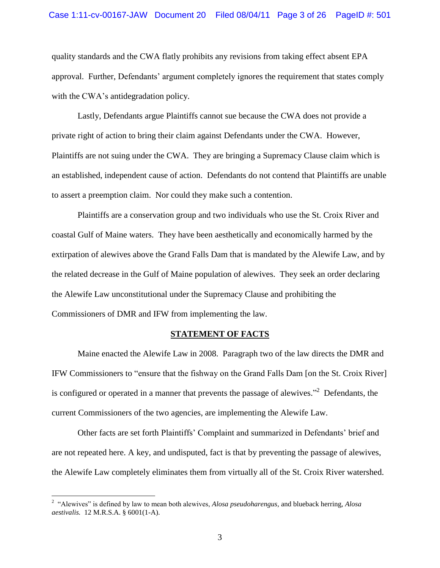#### Case 1:11-cv-00167-JAW Document 20 Filed 08/04/11 Page 3 of 26 PageID #: 501

quality standards and the CWA flatly prohibits any revisions from taking effect absent EPA approval. Further, Defendants' argument completely ignores the requirement that states comply with the CWA's antidegradation policy.

Lastly, Defendants argue Plaintiffs cannot sue because the CWA does not provide a private right of action to bring their claim against Defendants under the CWA. However, Plaintiffs are not suing under the CWA. They are bringing a Supremacy Clause claim which is an established, independent cause of action. Defendants do not contend that Plaintiffs are unable to assert a preemption claim. Nor could they make such a contention.

Plaintiffs are a conservation group and two individuals who use the St. Croix River and coastal Gulf of Maine waters. They have been aesthetically and economically harmed by the extirpation of alewives above the Grand Falls Dam that is mandated by the Alewife Law, and by the related decrease in the Gulf of Maine population of alewives. They seek an order declaring the Alewife Law unconstitutional under the Supremacy Clause and prohibiting the Commissioners of DMR and IFW from implementing the law.

### **STATEMENT OF FACTS**

Maine enacted the Alewife Law in 2008. Paragraph two of the law directs the DMR and IFW Commissioners to "ensure that the fishway on the Grand Falls Dam [on the St. Croix River] is configured or operated in a manner that prevents the passage of alewives. $\cdot$ <sup>2</sup> Defendants, the current Commissioners of the two agencies, are implementing the Alewife Law.

Other facts are set forth Plaintiffs' Complaint and summarized in Defendants' brief and are not repeated here. A key, and undisputed, fact is that by preventing the passage of alewives, the Alewife Law completely eliminates them from virtually all of the St. Croix River watershed.

<sup>&</sup>lt;sup>2</sup> "Alewives" is defined by law to mean both alewives, *Alosa pseudoharengus*, and blueback herring, *Alosa aestivalis.* 12 M.R.S.A. § 6001(1-A).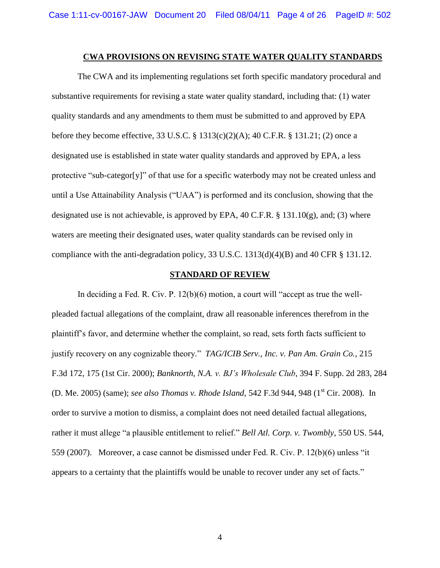#### **CWA PROVISIONS ON REVISING STATE WATER QUALITY STANDARDS**

The CWA and its implementing regulations set forth specific mandatory procedural and substantive requirements for revising a state water quality standard, including that: (1) water quality standards and any amendments to them must be submitted to and approved by EPA before they become effective*,* 33 U.S.C. § 1313(c)(2)(A); 40 C.F.R. § 131.21; (2) once a designated use is established in state water quality standards and approved by EPA, a less protective "sub-categor[y]" of that use for a specific waterbody may not be created unless and until a Use Attainability Analysis ("UAA") is performed and its conclusion, showing that the designated use is not achievable, is approved by EPA, 40 C.F.R. § 131.10(g), and; (3) where waters are meeting their designated uses, water quality standards can be revised only in compliance with the anti-degradation policy, 33 U.S.C. 1313(d)(4)(B) and 40 CFR § 131.12.

#### **STANDARD OF REVIEW**

In deciding a Fed. R. Civ. P.  $12(b)(6)$  motion, a court will "accept as true the wellpleaded factual allegations of the complaint, draw all reasonable inferences therefrom in the plaintiff's favor, and determine whether the complaint, so read, sets forth facts sufficient to justify recovery on any cognizable theory." *TAG/ICIB Serv., Inc. v. Pan Am. Grain Co.*, 215 F.3d 172, 175 (1st Cir. 2000); *Banknorth, N.A. v. BJ's Wholesale Club*, 394 F. Supp. 2d 283, 284 (D. Me. 2005) (same); *see also Thomas v. Rhode Island*, 542 F.3d 944, 948 (1<sup>st</sup> Cir. 2008). In order to survive a motion to dismiss, a complaint does not need detailed factual allegations, rather it must allege "a plausible entitlement to relief." *Bell Atl. Corp. v. Twombly*, 550 US. 544, 559 (2007). Moreover, a case cannot be dismissed under Fed. R. Civ. P.  $12(b)(6)$  unless "it" appears to a certainty that the plaintiffs would be unable to recover under any set of facts."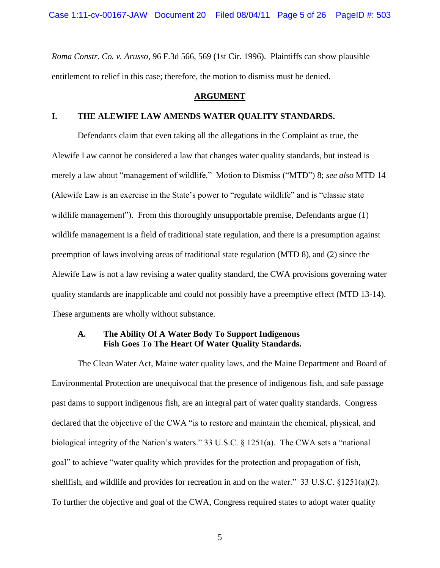*Roma Constr. Co. v. Arusso*, 96 F.3d 566, 569 (1st Cir. 1996). Plaintiffs can show plausible entitlement to relief in this case; therefore, the motion to dismiss must be denied.

#### **ARGUMENT**

### **I. THE ALEWIFE LAW AMENDS WATER QUALITY STANDARDS.**

Defendants claim that even taking all the allegations in the Complaint as true, the Alewife Law cannot be considered a law that changes water quality standards, but instead is merely a law about "management of wildlife." Motion to Dismiss ("MTD") 8; *see also* MTD 14 (Alewife Law is an exercise in the State's power to "regulate wildlife" and is "classic state") wildlife management"). From this thoroughly unsupportable premise, Defendants argue  $(1)$ wildlife management is a field of traditional state regulation, and there is a presumption against preemption of laws involving areas of traditional state regulation (MTD 8), and (2) since the Alewife Law is not a law revising a water quality standard, the CWA provisions governing water quality standards are inapplicable and could not possibly have a preemptive effect (MTD 13-14). These arguments are wholly without substance.

## **A. The Ability Of A Water Body To Support Indigenous Fish Goes To The Heart Of Water Quality Standards.**

The Clean Water Act, Maine water quality laws, and the Maine Department and Board of Environmental Protection are unequivocal that the presence of indigenous fish, and safe passage past dams to support indigenous fish, are an integral part of water quality standards. Congress declared that the objective of the CWA "is to restore and maintain the chemical, physical, and biological integrity of the Nation's waters." 33 U.S.C.  $\S$  1251(a). The CWA sets a "national goal" to achieve "water quality which provides for the protection and propagation of fish, shellfish, and wildlife and provides for recreation in and on the water." 33 U.S.C.  $\S 1251(a)(2)$ . To further the objective and goal of the CWA, Congress required states to adopt water quality

5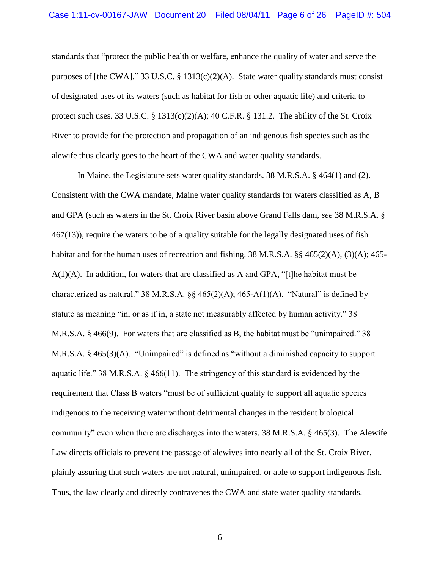standards that "protect the public health or welfare, enhance the quality of water and serve the purposes of [the CWA]." 33 U.S.C. § 1313(c)(2)(A). State water quality standards must consist of designated uses of its waters (such as habitat for fish or other aquatic life) and criteria to protect such uses. 33 U.S.C. § 1313(c)(2)(A); 40 C.F.R. § 131.2. The ability of the St. Croix River to provide for the protection and propagation of an indigenous fish species such as the alewife thus clearly goes to the heart of the CWA and water quality standards.

In Maine, the Legislature sets water quality standards. 38 M.R.S.A. § 464(1) and (2). Consistent with the CWA mandate, Maine water quality standards for waters classified as A, B and GPA (such as waters in the St. Croix River basin above Grand Falls dam, *see* 38 M.R.S.A. § 467(13)), require the waters to be of a quality suitable for the legally designated uses of fish habitat and for the human uses of recreation and fishing. 38 M.R.S.A. §§ 465(2)(A), (3)(A); 465- $A(1)(A)$ . In addition, for waters that are classified as A and GPA, "[t]he habitat must be characterized as natural." 38 M.R.S.A.  $\S$  $\S$  465(2)(A); 465-A(1)(A). "Natural" is defined by statute as meaning "in, or as if in, a state not measurably affected by human activity." 38 M.R.S.A.  $\S$  466(9). For waters that are classified as B, the habitat must be "unimpaired." 38 M.R.S.A.  $\S$  465(3)(A). "Unimpaired" is defined as "without a diminished capacity to support aquatic life." 38 M.R.S.A.  $\S$  466(11). The stringency of this standard is evidenced by the requirement that Class B waters "must be of sufficient quality to support all aquatic species indigenous to the receiving water without detrimental changes in the resident biological community" even when there are discharges into the waters.  $38$  M.R.S.A.  $\S$  465(3). The Alewife Law directs officials to prevent the passage of alewives into nearly all of the St. Croix River, plainly assuring that such waters are not natural, unimpaired, or able to support indigenous fish. Thus, the law clearly and directly contravenes the CWA and state water quality standards.

6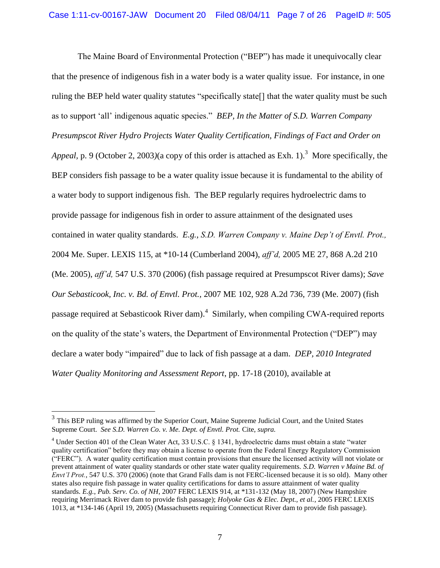The Maine Board of Environmental Protection ("BEP") has made it unequivocally clear that the presence of indigenous fish in a water body is a water quality issue. For instance, in one ruling the BEP held water quality statutes "specifically state<sup>[]</sup> that the water quality must be such as to support 'all' indigenous aquatic species." *BEP, In the Matter of S.D. Warren Company Presumpscot River Hydro Projects Water Quality Certification, Findings of Fact and Order on*  Appeal, p. 9 (October 2, 2003)(a copy of this order is attached as Exh. 1).<sup>3</sup> More specifically, the BEP considers fish passage to be a water quality issue because it is fundamental to the ability of a water body to support indigenous fish. The BEP regularly requires hydroelectric dams to provide passage for indigenous fish in order to assure attainment of the designated uses contained in water quality standards. *E.g., S.D. Warren Company v. Maine Dep't of Envtl. Prot.,*  2004 Me. Super. LEXIS 115, at \*10-14 (Cumberland 2004), *aff'd,* 2005 ME 27, 868 A.2d 210 (Me. 2005), *aff'd,* 547 U.S. 370 (2006) (fish passage required at Presumpscot River dams); *Save Our Sebasticook, Inc. v. Bd. of Envtl. Prot.,* 2007 ME 102, 928 A.2d 736, 739 (Me. 2007) (fish passage required at Sebasticook River dam).<sup>4</sup> Similarly, when compiling CWA-required reports on the quality of the state's waters, the Department of Environmental Protection ("DEP") may declare a water body "impaired" due to lack of fish passage at a dam. *DEP*, 2010 Integrated *Water Quality Monitoring and Assessment Report*, pp. 17-18 (2010), available at

<sup>&</sup>lt;sup>3</sup><br><sup>3</sup> This BEP ruling was affirmed by the Superior Court, Maine Supreme Judicial Court, and the United States Supreme Court. *See S.D. Warren Co. v. Me. Dept. of Envtl. Prot.* Cite, *supra.*

<sup>&</sup>lt;sup>4</sup> Under Section 401 of the Clean Water Act, 33 U.S.C. § 1341, hydroelectric dams must obtain a state "water quality certification" before they may obtain a license to operate from the Federal Energy Regulatory Commission (―FERC‖). A water quality certification must contain provisions that ensure the licensed activity will not violate or prevent attainment of water quality standards or other state water quality requirements. *S.D. Warren v Maine Bd. of Envt'l Prot.*, 547 U.S. 370 (2006) (note that Grand Falls dam is not FERC-licensed because it is so old). Many other states also require fish passage in water quality certifications for dams to assure attainment of water quality standards. *E.g.*, *Pub. Serv. Co. of NH*, 2007 FERC LEXIS 914, at \*131-132 (May 18, 2007) (New Hampshire requiring Merrimack River dam to provide fish passage); *Holyoke Gas & Elec. Dept., et al.*, 2005 FERC LEXIS 1013, at \*134-146 (April 19, 2005) (Massachusetts requiring Connecticut River dam to provide fish passage).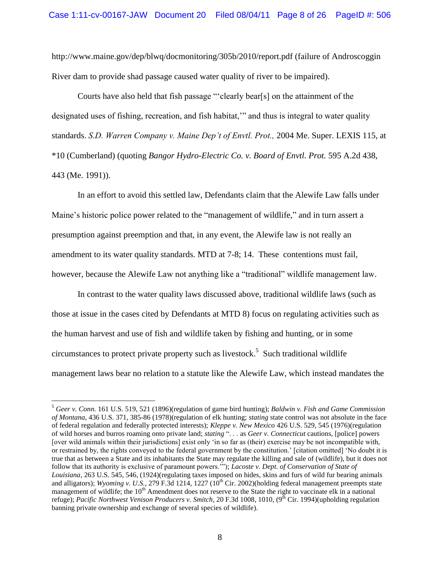http://www.maine.gov/dep/blwq/docmonitoring/305b/2010/report.pdf (failure of Androscoggin River dam to provide shad passage caused water quality of river to be impaired).

Courts have also held that fish passage "'clearly bear[s] on the attainment of the designated uses of fishing, recreation, and fish habitat," and thus is integral to water quality standards. *S.D. Warren Company v. Maine Dep't of Envtl. Prot.,* 2004 Me. Super. LEXIS 115, at \*10 (Cumberland) (quoting *Bangor Hydro-Electric Co. v. Board of Envtl. Prot.* 595 A.2d 438, 443 (Me. 1991)).

In an effort to avoid this settled law, Defendants claim that the Alewife Law falls under Maine's historic police power related to the "management of wildlife," and in turn assert a presumption against preemption and that, in any event, the Alewife law is not really an amendment to its water quality standards. MTD at 7-8; 14. These contentions must fail, however, because the Alewife Law not anything like a "traditional" wildlife management law.

In contrast to the water quality laws discussed above, traditional wildlife laws (such as those at issue in the cases cited by Defendants at MTD 8) focus on regulating activities such as the human harvest and use of fish and wildlife taken by fishing and hunting, or in some circumstances to protect private property such as livestock. 5 Such traditional wildlife management laws bear no relation to a statute like the Alewife Law, which instead mandates the

<sup>5</sup> *Geer v. Conn.* 161 U.S. 519, 521 (1896)(regulation of game bird hunting); *Baldwin v. Fish and Game Commission of Montana*, 436 U.S. 371, 385-86 (1978)(regulation of elk hunting; *stating* state control was not absolute in the face of federal regulation and federally protected interests); *Kleppe v. New Mexico* 426 U.S. 529, 545 (1976)(regulation of wild horses and burros roaming onto private land; *stating* ". . . as *Geer v. Connecticut* cautions, [police] powers [over wild animals within their jurisdictions] exist only 'in so far as (their) exercise may be not incompatible with, or restrained by, the rights conveyed to the federal government by the constitution.' [citation omitted] ‗No doubt it is true that as between a State and its inhabitants the State may regulate the killing and sale of (wildlife), but it does not follow that its authority is exclusive of paramount powers.""); *Lacoste v. Dept. of Conservation of State of Louisiana*, 263 U.S. 545, 546, (1924)(regulating taxes imposed on hides, skins and furs of wild fur bearing animals and alligators); *Wyoming v. U.S.*, 279 F.3d 1214, 1227  $(10<sup>th</sup>$  Cir. 2002)(holding federal management preempts state management of wildlife; the  $10<sup>th</sup>$  Amendment does not reserve to the State the right to vaccinate elk in a national refuge); *Pacific Northwest Venison Producers v. Smitch*, 20 F.3d 1008, 1010, (9<sup>th</sup> Cir. 1994)(upholding regulation banning private ownership and exchange of several species of wildlife).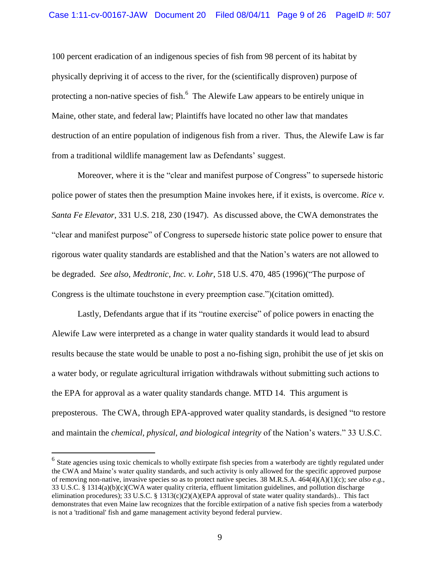100 percent eradication of an indigenous species of fish from 98 percent of its habitat by physically depriving it of access to the river, for the (scientifically disproven) purpose of protecting a non-native species of fish.<sup>6</sup> The Alewife Law appears to be entirely unique in Maine, other state, and federal law; Plaintiffs have located no other law that mandates destruction of an entire population of indigenous fish from a river. Thus, the Alewife Law is far from a traditional wildlife management law as Defendants' suggest.

Moreover, where it is the "clear and manifest purpose of Congress" to supersede historic police power of states then the presumption Maine invokes here, if it exists, is overcome. *Rice v. Santa Fe Elevator*, 331 U.S. 218, 230 (1947). As discussed above, the CWA demonstrates the ―clear and manifest purpose‖ of Congress to supersede historic state police power to ensure that rigorous water quality standards are established and that the Nation's waters are not allowed to be degraded. *See also, Medtronic, Inc. v. Lohr*, 518 U.S. 470, 485 (1996)("The purpose of Congress is the ultimate touchstone in every preemption case.")(citation omitted).

Lastly, Defendants argue that if its "routine exercise" of police powers in enacting the Alewife Law were interpreted as a change in water quality standards it would lead to absurd results because the state would be unable to post a no-fishing sign, prohibit the use of jet skis on a water body, or regulate agricultural irrigation withdrawals without submitting such actions to the EPA for approval as a water quality standards change. MTD 14. This argument is preposterous. The CWA, through EPA-approved water quality standards, is designed "to restore and maintain the *chemical, physical, and biological integrity* of the Nation's waters." 33 U.S.C.

<sup>&</sup>lt;sup>6</sup> State agencies using toxic chemicals to wholly extirpate fish species from a waterbody are tightly regulated under the CWA and Maine's water quality standards, and such activity is only allowed for the specific approved purpose of removing non-native, invasive species so as to protect native species. 38 M.R.S.A. 464(4)(A)(1)(c); *see also e.g.,*  33 U.S.C. § 1314(a)(b)(c)(CWA water quality criteria, effluent limitation guidelines, and pollution discharge elimination procedures); 33 U.S.C. § 1313(c)(2)(A)(EPA approval of state water quality standards).. This fact demonstrates that even Maine law recognizes that the forcible extirpation of a native fish species from a waterbody is not a 'traditional' fish and game management activity beyond federal purview.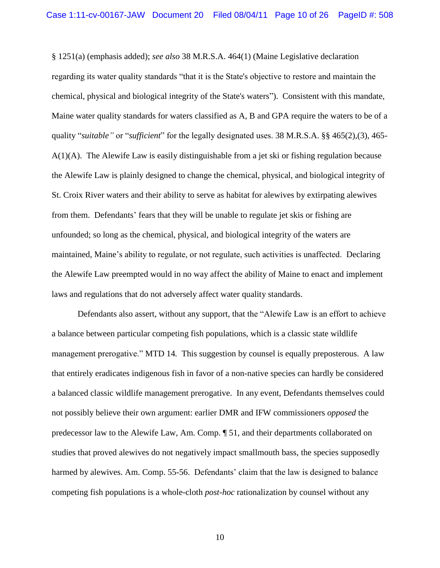§ 1251(a) (emphasis added); *see also* 38 M.R.S.A. 464(1) (Maine Legislative declaration regarding its water quality standards "that it is the State's objective to restore and maintain the chemical, physical and biological integrity of the State's waters"). Consistent with this mandate, Maine water quality standards for waters classified as A, B and GPA require the waters to be of a quality "*suitable"* or "*sufficient*" for the legally designated uses. 38 M.R.S.A. §§ 465(2),(3), 465-A(1)(A). The Alewife Law is easily distinguishable from a jet ski or fishing regulation because the Alewife Law is plainly designed to change the chemical, physical, and biological integrity of St. Croix River waters and their ability to serve as habitat for alewives by extirpating alewives from them. Defendants' fears that they will be unable to regulate jet skis or fishing are unfounded; so long as the chemical, physical, and biological integrity of the waters are maintained, Maine's ability to regulate, or not regulate, such activities is unaffected. Declaring the Alewife Law preempted would in no way affect the ability of Maine to enact and implement laws and regulations that do not adversely affect water quality standards.

Defendants also assert, without any support, that the "Alewife Law is an effort to achieve a balance between particular competing fish populations, which is a classic state wildlife management prerogative." MTD 14. This suggestion by counsel is equally preposterous. A law that entirely eradicates indigenous fish in favor of a non-native species can hardly be considered a balanced classic wildlife management prerogative. In any event, Defendants themselves could not possibly believe their own argument: earlier DMR and IFW commissioners *opposed* the predecessor law to the Alewife Law, Am. Comp. ¶ 51, and their departments collaborated on studies that proved alewives do not negatively impact smallmouth bass, the species supposedly harmed by alewives. Am. Comp. 55-56. Defendants' claim that the law is designed to balance competing fish populations is a whole-cloth *post-hoc* rationalization by counsel without any

10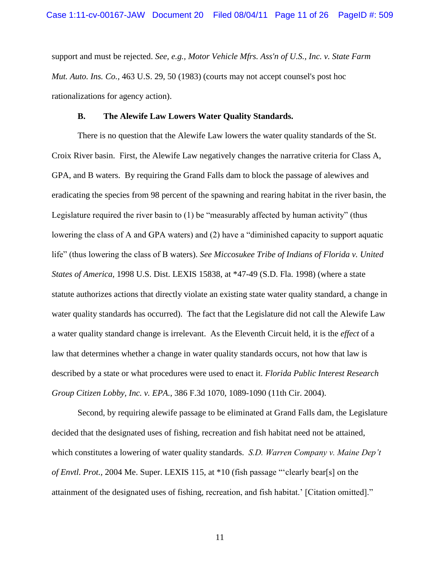support and must be rejected. *See, e.g., Motor Vehicle Mfrs. Ass'n of U.S., Inc. v. State Farm Mut. Auto. Ins. Co.,* 463 U.S. 29, 50 (1983) (courts may not accept counsel's post hoc rationalizations for agency action).

#### **B. The Alewife Law Lowers Water Quality Standards.**

There is no question that the Alewife Law lowers the water quality standards of the St. Croix River basin. First, the Alewife Law negatively changes the narrative criteria for Class A, GPA, and B waters. By requiring the Grand Falls dam to block the passage of alewives and eradicating the species from 98 percent of the spawning and rearing habitat in the river basin, the Legislature required the river basin to  $(1)$  be "measurably affected by human activity" (thus lowering the class of A and GPA waters) and  $(2)$  have a "diminished capacity to support aquatic life" (thus lowering the class of B waters). *See Miccosukee Tribe of Indians of Florida v. United States of America,* 1998 U.S. Dist. LEXIS 15838, at \*47-49 (S.D. Fla. 1998) (where a state statute authorizes actions that directly violate an existing state water quality standard, a change in water quality standards has occurred). The fact that the Legislature did not call the Alewife Law a water quality standard change is irrelevant. As the Eleventh Circuit held, it is the *effect* of a law that determines whether a change in water quality standards occurs, not how that law is described by a state or what procedures were used to enact it. *Florida Public Interest Research Group Citizen Lobby, Inc. v. EPA.,* 386 F.3d 1070, 1089-1090 (11th Cir. 2004).

Second, by requiring alewife passage to be eliminated at Grand Falls dam, the Legislature decided that the designated uses of fishing, recreation and fish habitat need not be attained, which constitutes a lowering of water quality standards. *S.D. Warren Company v. Maine Dep't of Envtl. Prot.,* 2004 Me. Super. LEXIS 115, at \*10 (fish passage "clearly bear[s] on the attainment of the designated uses of fishing, recreation, and fish habitat.' [Citation omitted]."

11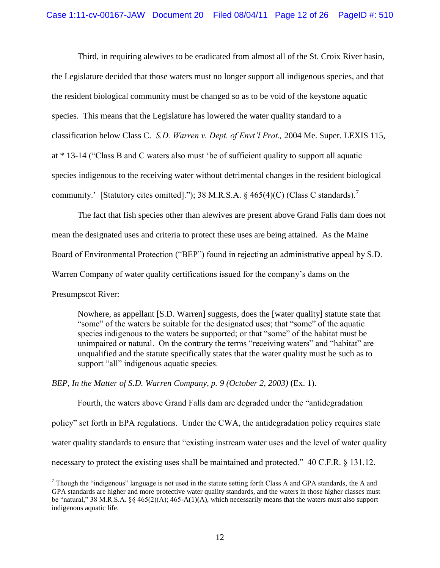Third, in requiring alewives to be eradicated from almost all of the St. Croix River basin, the Legislature decided that those waters must no longer support all indigenous species, and that the resident biological community must be changed so as to be void of the keystone aquatic species. This means that the Legislature has lowered the water quality standard to a classification below Class C. *S.D. Warren v. Dept. of Envt'l Prot.,* 2004 Me. Super. LEXIS 115, at  $*$  13-14 ("Class B and C waters also must 'be of sufficient quality to support all aquatic species indigenous to the receiving water without detrimental changes in the resident biological community.' [Statutory cites omitted]."); 38 M.R.S.A.  $\S$  465(4)(C) (Class C standards).'

The fact that fish species other than alewives are present above Grand Falls dam does not mean the designated uses and criteria to protect these uses are being attained. As the Maine Board of Environmental Protection ("BEP") found in rejecting an administrative appeal by S.D. Warren Company of water quality certifications issued for the company's dams on the

Presumpscot River:

 $\overline{a}$ 

Nowhere, as appellant [S.D. Warren] suggests, does the [water quality] statute state that "some" of the waters be suitable for the designated uses; that "some" of the aquatic species indigenous to the waters be supported; or that "some" of the habitat must be unimpaired or natural. On the contrary the terms "receiving waters" and "habitat" are unqualified and the statute specifically states that the water quality must be such as to support "all" indigenous aquatic species.

*BEP, In the Matter of S.D. Warren Company, p. 9 (October 2, 2003)* (Ex. 1).

Fourth, the waters above Grand Falls dam are degraded under the "antidegradation" policy" set forth in EPA regulations. Under the CWA, the antidegradation policy requires state water quality standards to ensure that "existing instream water uses and the level of water quality necessary to protect the existing uses shall be maintained and protected."  $40 \text{ C.F.R. }$  § 131.12.

 $^7$  Though the "indigenous" language is not used in the statute setting forth Class A and GPA standards, the A and GPA standards are higher and more protective water quality standards, and the waters in those higher classes must be "natural," 38 M.R.S.A.  $\S$  465(2)(A); 465-A(1)(A), which necessarily means that the waters must also support indigenous aquatic life.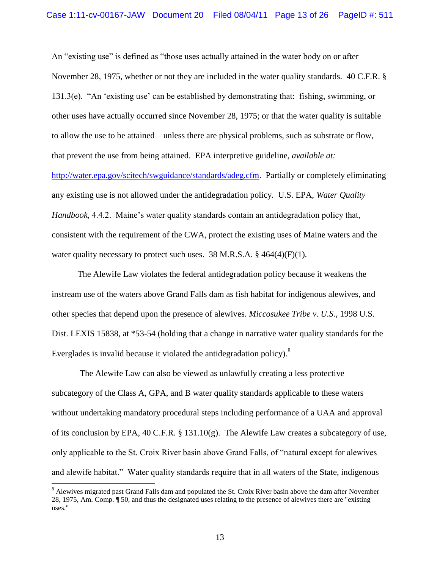An "existing use" is defined as "those uses actually attained in the water body on or after November 28, 1975, whether or not they are included in the water quality standards. 40 C.F.R. § 131.3(e).  $A_n$  'existing use' can be established by demonstrating that: fishing, swimming, or other uses have actually occurred since November 28, 1975; or that the water quality is suitable to allow the use to be attained—unless there are physical problems, such as substrate or flow, that prevent the use from being attained. EPA interpretive guideline, *available at:*

[http://water.epa.gov/scitech/swguidance/standards/adeg.cfm.](https://owa.earthjustice.org/owa/redir.aspx?C=f55192848bfa42d0bd703025940a6028&URL=http%3a%2f%2fwater.epa.gov%2fscitech%2fswguidance%2fstandards%2fadeg.cfm) Partially or completely eliminating any existing use is not allowed under the antidegradation policy. U.S. EPA, *Water Quality Handbook,* 4.4.2. Maine's water quality standards contain an antidegradation policy that, consistent with the requirement of the CWA, protect the existing uses of Maine waters and the water quality necessary to protect such uses. 38 M.R.S.A.  $\S$  464(4)(F)(1).

The Alewife Law violates the federal antidegradation policy because it weakens the instream use of the waters above Grand Falls dam as fish habitat for indigenous alewives, and other species that depend upon the presence of alewives. *Miccosukee Tribe v. U.S.,* 1998 U.S. Dist. LEXIS 15838, at \*53-54 (holding that a change in narrative water quality standards for the Everglades is invalid because it violated the antidegradation policy).<sup>8</sup>

The Alewife Law can also be viewed as unlawfully creating a less protective subcategory of the Class A, GPA, and B water quality standards applicable to these waters without undertaking mandatory procedural steps including performance of a UAA and approval of its conclusion by EPA, 40 C.F.R. § 131.10(g). The Alewife Law creates a subcategory of use, only applicable to the St. Croix River basin above Grand Falls, of "natural except for alewives" and alewife habitat." Water quality standards require that in all waters of the State, indigenous

<sup>&</sup>lt;sup>8</sup> Alewives migrated past Grand Falls dam and populated the St. Croix River basin above the dam after November 28, 1975, Am. Comp. ¶ 50, and thus the designated uses relating to the presence of alewives there are "existing uses."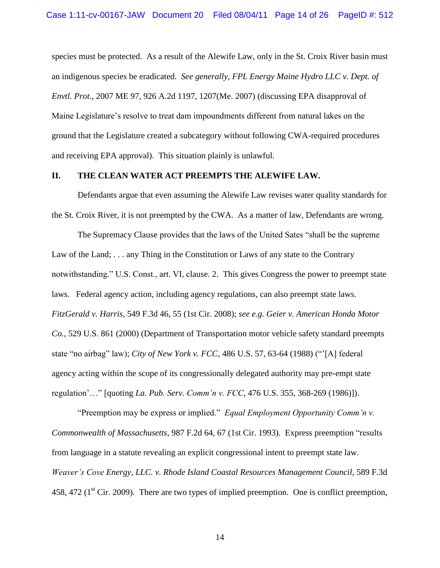species must be protected. As a result of the Alewife Law, only in the St. Croix River basin must an indigenous species be eradicated. *See generally, FPL Energy Maine Hydro LLC v. Dept. of Envtl. Prot*., 2007 ME 97, 926 A.2d 1197, 1207(Me. 2007) (discussing EPA disapproval of Maine Legislature's resolve to treat dam impoundments different from natural lakes on the ground that the Legislature created a subcategory without following CWA-required procedures and receiving EPA approval). This situation plainly is unlawful.

#### **II. THE CLEAN WATER ACT PREEMPTS THE ALEWIFE LAW.**

Defendants argue that even assuming the Alewife Law revises water quality standards for the St. Croix River, it is not preempted by the CWA. As a matter of law, Defendants are wrong.

The Supremacy Clause provides that the laws of the United Sates "shall be the supreme" Law of the Land; . . . any Thing in the Constitution or Laws of any state to the Contrary notwithstanding." U.S. Const., art. VI, clause. 2. This gives Congress the power to preempt state laws. Federal agency action, including agency regulations, can also preempt state laws. *FitzGerald v. Harris,* 549 F.3d 46, 55 (1st Cir. 2008); *see e.g. Geier v. American Honda Motor Co.*, 529 U.S. 861 (2000) (Department of Transportation motor vehicle safety standard preempts state "no airbag" law); *City of New York v. FCC*, 486 U.S. 57, 63-64 (1988) ("[A] federal agency acting within the scope of its congressionally delegated authority may pre-empt state regulation'…‖ [quoting *La. Pub. Serv. Comm'n v. FCC*, 476 U.S. 355, 368-269 (1986)]).

―Preemption may be express or implied.‖ *Equal Employment Opportunity Comm'n v. Commonwealth of Massachusetts*, 987 F.2d 64, 67 (1st Cir. 1993). Express preemption "results" from language in a statute revealing an explicit congressional intent to preempt state law. *Weaver's Cove Energy, LLC. v. Rhode Island Coastal Resources Management Council, 589 F.3d* 458, 472 ( $1<sup>st</sup>$  Cir. 2009). There are two types of implied preemption. One is conflict preemption,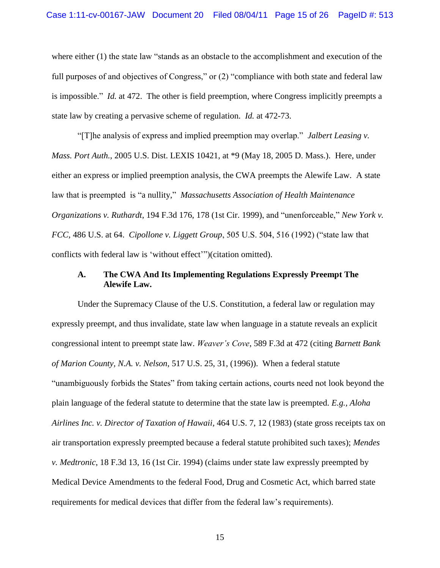where either  $(1)$  the state law "stands as an obstacle to the accomplishment and execution of the full purposes of and objectives of Congress," or  $(2)$  "compliance with both state and federal law is impossible." *Id.* at 472. The other is field preemption, where Congress implicitly preempts a state law by creating a pervasive scheme of regulation. *Id.* at 472-73.

―[T]he analysis of express and implied preemption may overlap.‖ *Jalbert Leasing v. Mass. Port Auth.*, 2005 U.S. Dist. LEXIS 10421, at \*9 (May 18, 2005 D. Mass.). Here, under either an express or implied preemption analysis, the CWA preempts the Alewife Law. A state law that is preempted is "a nullity," *Massachusetts Association of Health Maintenance Organizations v. Ruthardt,* 194 F.3d 176, 178 (1st Cir. 1999), and "unenforceable," New York v. *FCC*, 486 U.S. at 64. *Cipollone v. Liggett Group*, 505 U.S. 504, 516 (1992) ("state law that conflicts with federal law is 'without effect'")(citation omitted).

## **A. The CWA And Its Implementing Regulations Expressly Preempt The Alewife Law.**

Under the Supremacy Clause of the U.S. Constitution, a federal law or regulation may expressly preempt, and thus invalidate, state law when language in a statute reveals an explicit congressional intent to preempt state law. *Weaver's Cove*, 589 F.3d at 472 (citing *Barnett Bank of Marion County, N.A. v. Nelson*, 517 U.S. 25, 31, (1996)). When a federal statute ―unambiguously forbids the States‖ from taking certain actions, courts need not look beyond the plain language of the federal statute to determine that the state law is preempted. *E.g., Aloha Airlines Inc. v. Director of Taxation of Hawaii,* 464 U.S. 7, 12 (1983) (state gross receipts tax on air transportation expressly preempted because a federal statute prohibited such taxes); *Mendes v. Medtronic*, 18 F.3d 13, 16 (1st Cir. 1994) (claims under state law expressly preempted by Medical Device Amendments to the federal Food, Drug and Cosmetic Act, which barred state requirements for medical devices that differ from the federal law's requirements).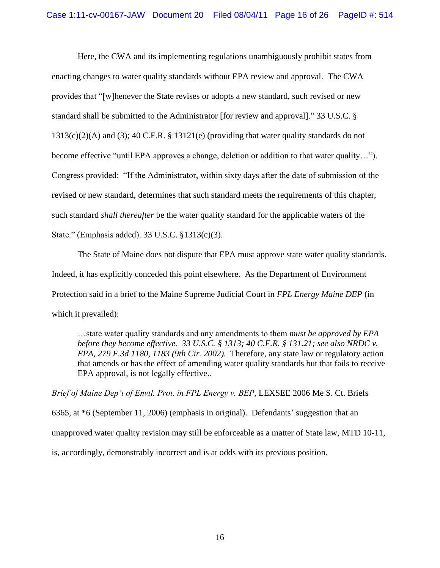Here, the CWA and its implementing regulations unambiguously prohibit states from enacting changes to water quality standards without EPA review and approval. The CWA provides that "[w]henever the State revises or adopts a new standard, such revised or new standard shall be submitted to the Administrator [for review and approval]." 33 U.S.C. §  $1313(c)(2)(A)$  and (3); 40 C.F.R. § 13121(e) (providing that water quality standards do not become effective "until EPA approves a change, deletion or addition to that water quality..."). Congress provided: "If the Administrator, within sixty days after the date of submission of the revised or new standard, determines that such standard meets the requirements of this chapter, such standard *shall thereafter* be the water quality standard for the applicable waters of the State." (Emphasis added). 33 U.S.C.  $$1313(c)(3)$ .

The State of Maine does not dispute that EPA must approve state water quality standards. Indeed, it has explicitly conceded this point elsewhere. As the Department of Environment Protection said in a brief to the Maine Supreme Judicial Court in *FPL Energy Maine DEP* (in which it prevailed):

…state water quality standards and any amendments to them *must be approved by EPA before they become effective. 33 U.S.C. § 1313; 40 C.F.R. § 131.21; see also NRDC v. EPA, 279 F.3d 1180, 1183 (9th Cir. 2002).* Therefore, any state law or regulatory action that amends or has the effect of amending water quality standards but that fails to receive EPA approval, is not legally effective.*.*

*Brief of Maine Dep't of Envtl. Prot. in FPL Energy v. BEP*, LEXSEE 2006 Me S. Ct. Briefs 6365, at \*6 (September 11, 2006) (emphasis in original). Defendants' suggestion that an unapproved water quality revision may still be enforceable as a matter of State law, MTD 10-11, is, accordingly, demonstrably incorrect and is at odds with its previous position.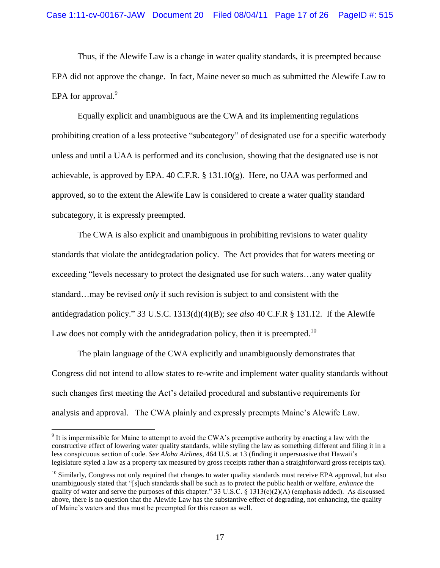Thus, if the Alewife Law is a change in water quality standards, it is preempted because EPA did not approve the change. In fact, Maine never so much as submitted the Alewife Law to EPA for approval. $9$ 

Equally explicit and unambiguous are the CWA and its implementing regulations prohibiting creation of a less protective "subcategory" of designated use for a specific waterbody unless and until a UAA is performed and its conclusion, showing that the designated use is not achievable, is approved by EPA. 40 C.F.R. § 131.10(g). Here, no UAA was performed and approved, so to the extent the Alewife Law is considered to create a water quality standard subcategory, it is expressly preempted.

The CWA is also explicit and unambiguous in prohibiting revisions to water quality standards that violate the antidegradation policy. The Act provides that for waters meeting or exceeding "levels necessary to protect the designated use for such waters...any water quality standard…may be revised *only* if such revision is subject to and consistent with the antidegradation policy.‖ 33 U.S.C. 1313(d)(4)(B); *see also* 40 C.F.R § 131.12. If the Alewife Law does not comply with the antidegradation policy, then it is preempted.<sup>10</sup>

The plain language of the CWA explicitly and unambiguously demonstrates that Congress did not intend to allow states to re-write and implement water quality standards without such changes first meeting the Act's detailed procedural and substantive requirements for analysis and approval. The CWA plainly and expressly preempts Maine's Alewife Law.

 $9$  It is impermissible for Maine to attempt to avoid the CWA's preemptive authority by enacting a law with the constructive effect of lowering water quality standards, while styling the law as something different and filing it in a less conspicuous section of code. *See Aloha Airlines*, 464 U.S. at 13 (finding it unpersuasive that Hawaii's legislature styled a law as a property tax measured by gross receipts rather than a straightforward gross receipts tax).

 $10$  Similarly, Congress not only required that changes to water quality standards must receive EPA approval, but also unambiguously stated that "[s]uch standards shall be such as to protect the public health or welfare, *enhance* the quality of water and serve the purposes of this chapter." 33 U.S.C. § 1313(c)(2)(A) (emphasis added). As discussed above, there is no question that the Alewife Law has the substantive effect of degrading, not enhancing, the quality of Maine's waters and thus must be preempted for this reason as well.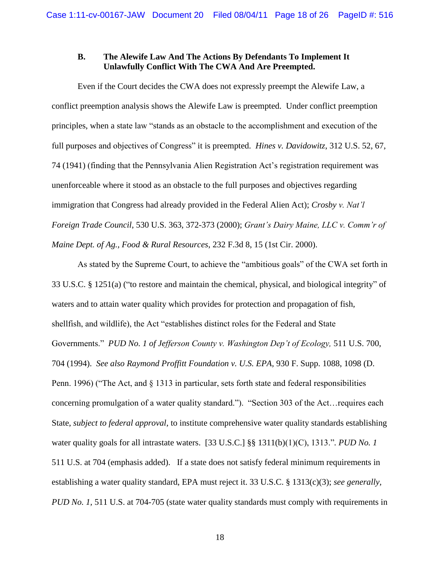## **B. The Alewife Law And The Actions By Defendants To Implement It Unlawfully Conflict With The CWA And Are Preempted.**

Even if the Court decides the CWA does not expressly preempt the Alewife Law, a conflict preemption analysis shows the Alewife Law is preempted. Under conflict preemption principles, when a state law "stands as an obstacle to the accomplishment and execution of the full purposes and objectives of Congress" it is preempted. *Hines v. Davidowitz*, 312 U.S. 52, 67, 74 (1941) (finding that the Pennsylvania Alien Registration Act's registration requirement was unenforceable where it stood as an obstacle to the full purposes and objectives regarding immigration that Congress had already provided in the Federal Alien Act); *Crosby v. Nat'l Foreign Trade Council*, 530 U.S. 363, 372-373 (2000); *Grant's Dairy Maine, LLC v. Comm'r of Maine Dept. of Ag., Food & Rural Resources*, 232 F.3d 8, 15 (1st Cir. 2000).

As stated by the Supreme Court, to achieve the "ambitious goals" of the CWA set forth in 33 U.S.C. § 1251(a) ("to restore and maintain the chemical, physical, and biological integrity" of waters and to attain water quality which provides for protection and propagation of fish, shellfish, and wildlife), the Act "establishes distinct roles for the Federal and State Governments.‖ *PUD No. 1 of Jefferson County v. Washington Dep't of Ecology,* 511 U.S. 700, 704 (1994). *See also Raymond Proffitt Foundation v. U.S. EPA,* 930 F. Supp. 1088, 1098 (D. Penn. 1996) ("The Act, and  $\S$  1313 in particular, sets forth state and federal responsibilities concerning promulgation of a water quality standard."). "Section 303 of the Act... requires each State, *subject to federal approval*, to institute comprehensive water quality standards establishing water quality goals for all intrastate waters. [33 U.S.C.]  $\S$ [3 1311(b)(1)(C), 1313."*. PUD No. 1* 511 U.S. at 704 (emphasis added). If a state does not satisfy federal minimum requirements in establishing a water quality standard, EPA must reject it. 33 U.S.C. § 1313(c)(3); *see generally, PUD No. 1,* 511 U.S. at 704-705 (state water quality standards must comply with requirements in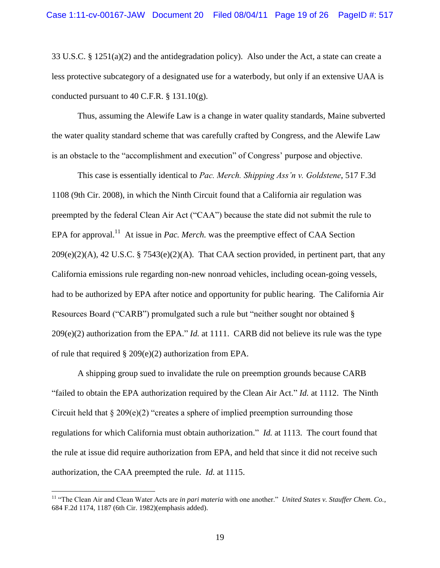33 U.S.C. § 1251(a)(2) and the antidegradation policy). Also under the Act, a state can create a less protective subcategory of a designated use for a waterbody, but only if an extensive UAA is conducted pursuant to 40 C.F.R.  $\S$  131.10(g).

Thus, assuming the Alewife Law is a change in water quality standards, Maine subverted the water quality standard scheme that was carefully crafted by Congress, and the Alewife Law is an obstacle to the "accomplishment and execution" of Congress' purpose and objective.

This case is essentially identical to *Pac. Merch. Shipping Ass'n v. Goldstene*, 517 F.3d 1108 (9th Cir. 2008), in which the Ninth Circuit found that a California air regulation was preempted by the federal Clean Air Act ("CAA") because the state did not submit the rule to EPA for approval.<sup>11</sup> At issue in *Pac. Merch*. was the preemptive effect of CAA Section  $209(e)(2)(A)$ , 42 U.S.C. § 7543(e)(2)(A). That CAA section provided, in pertinent part, that any California emissions rule regarding non-new nonroad vehicles, including ocean-going vessels, had to be authorized by EPA after notice and opportunity for public hearing. The California Air Resources Board ("CARB") promulgated such a rule but "neither sought nor obtained §  $209(e)(2)$  authorization from the EPA." *Id.* at 1111. CARB did not believe its rule was the type of rule that required § 209(e)(2) authorization from EPA.

A shipping group sued to invalidate the rule on preemption grounds because CARB "failed to obtain the EPA authorization required by the Clean Air Act." *Id.* at 1112. The Ninth Circuit held that  $\S 209(e)(2)$  "creates a sphere of implied preemption surrounding those regulations for which California must obtain authorization." *Id.* at 1113. The court found that the rule at issue did require authorization from EPA, and held that since it did not receive such authorization, the CAA preempted the rule. *Id.* at 1115.

<sup>&</sup>lt;sup>11</sup> "The Clean Air and Clean Water Acts are *in pari materia* with one another." *United States v. Stauffer Chem. Co.*, 684 F.2d 1174, 1187 (6th Cir. 1982)(emphasis added).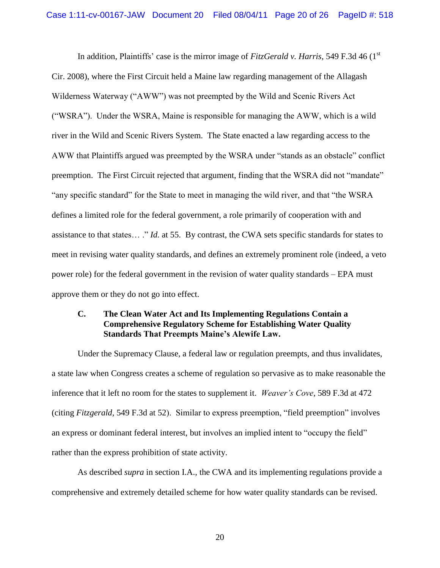In addition, Plaintiffs' case is the mirror image of *FitzGerald v. Harris*, 549 F.3d 46 (1<sup>st</sup>) Cir. 2008), where the First Circuit held a Maine law regarding management of the Allagash Wilderness Waterway ("AWW") was not preempted by the Wild and Scenic Rivers Act (―WSRA‖). Under the WSRA, Maine is responsible for managing the AWW, which is a wild river in the Wild and Scenic Rivers System. The State enacted a law regarding access to the AWW that Plaintiffs argued was preempted by the WSRA under "stands as an obstacle" conflict preemption. The First Circuit rejected that argument, finding that the WSRA did not "mandate" "any specific standard" for the State to meet in managing the wild river, and that "the WSRA" defines a limited role for the federal government, a role primarily of cooperation with and assistance to that states… ." *Id.* at 55. By contrast, the CWA sets specific standards for states to meet in revising water quality standards, and defines an extremely prominent role (indeed, a veto power role) for the federal government in the revision of water quality standards – EPA must approve them or they do not go into effect.

# **C. The Clean Water Act and Its Implementing Regulations Contain a Comprehensive Regulatory Scheme for Establishing Water Quality Standards That Preempts Maine's Alewife Law.**

Under the Supremacy Clause, a federal law or regulation preempts, and thus invalidates, a state law when Congress creates a scheme of regulation so pervasive as to make reasonable the inference that it left no room for the states to supplement it. *Weaver's Cove*, 589 F.3d at 472 (citing *Fitzgerald,* 549 F.3d at 52). Similar to express preemption, "field preemption" involves an express or dominant federal interest, but involves an implied intent to "occupy the field" rather than the express prohibition of state activity.

As described *supra* in section I.A., the CWA and its implementing regulations provide a comprehensive and extremely detailed scheme for how water quality standards can be revised.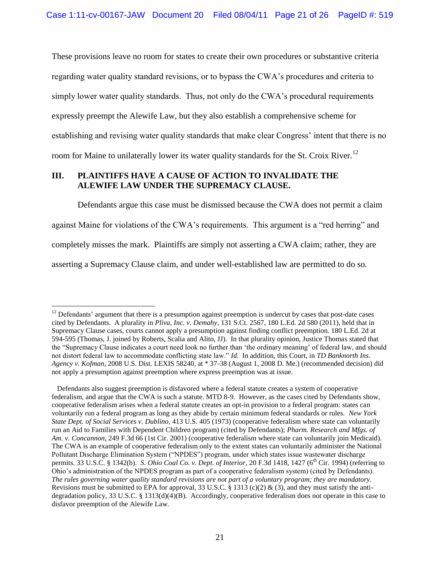These provisions leave no room for states to create their own procedures or substantive criteria regarding water quality standard revisions, or to bypass the CWA's procedures and criteria to simply lower water quality standards. Thus, not only do the CWA's procedural requirements expressly preempt the Alewife Law, but they also establish a comprehensive scheme for establishing and revising water quality standards that make clear Congress' intent that there is no room for Maine to unilaterally lower its water quality standards for the St. Croix River.<sup>12</sup>

# **III. PLAINTIFFS HAVE A CAUSE OF ACTION TO INVALIDATE THE ALEWIFE LAW UNDER THE SUPREMACY CLAUSE.**

 $\overline{a}$ 

Defendants argue this case must be dismissed because the CWA does not permit a claim against Maine for violations of the CWA's requirements. This argument is a "red herring" and completely misses the mark. Plaintiffs are simply not asserting a CWA claim; rather, they are asserting a Supremacy Clause claim, and under well-established law are permitted to do so.

 $12$  Defendants' argument that there is a presumption against preemption is undercut by cases that post-date cases cited by Defendants. A plurality in *Pliva, Inc. v. Demahy*, 131 S.Ct. 2567, 180 L.Ed. 2d 580 (2011), held that in Supremacy Clause cases, courts cannot apply a presumption against finding conflict preemption. 180 L.Ed. 2d at 594-595 (Thomas, J. joined by Roberts, Scalia and Alito, JJ). In that plurality opinion, Justice Thomas stated that the "Supremacy Clause indicates a court need look no further than 'the ordinary meaning' of federal law, and should not distort federal law to accommodate conflicting state law." *Id.* In addition, this Court, in *TD Banknorth Ins. Agency v. Kofman*, 2008 U.S. Dist. LEXIS 58240, at \* 37-38 (August 1, 2008 D. Me.) (recommended decision) did not apply a presumption against preemption where express preemption was at issue.

Defendants also suggest preemption is disfavored where a federal statute creates a system of cooperative federalism, and argue that the CWA is such a statute. MTD 8-9. However, as the cases cited by Defendants show, cooperative federalism arises when a federal statute creates an opt-in provision to a federal program: states can voluntarily run a federal program as long as they abide by certain minimum federal standards or rules. *New York State Dept. of Social Services v. Dublino*, 413 U.S. 405 (1973) (cooperative federalism where state can voluntarily run an Aid to Families with Dependent Children program) (cited by Defendants); *Pharm. Research and Mfgs. of Am. v. Concannon*, 249 F.3d 66 (1st Cir. 2001) (cooperative federalism where state can voluntarily join Medicaid). The CWA is an example of cooperative federalism only to the extent states can voluntarily administer the National Pollutant Discharge Elimination System ("NPDES") program, under which states issue wastewater discharge permits. 33 U.S.C. § 1342(b). *S. Ohio Coal Co. v. Dept. of Interior*, 20 F.3d 1418, 1427 (6<sup>th</sup> Cir. 1994) (referring to Ohio's administration of the NPDES program as part of a cooperative federalism system) (cited by Defendants). *The rules governing water quality standard revisions are not part of a voluntary program; they are mandatory.* Revisions must be submitted to EPA for approval, 33 U.S.C. § 1313 (c)(2) & (3), and they must satisfy the antidegradation policy, 33 U.S.C. § 1313(d)(4)(B). Accordingly, cooperative federalism does not operate in this case to disfavor preemption of the Alewife Law.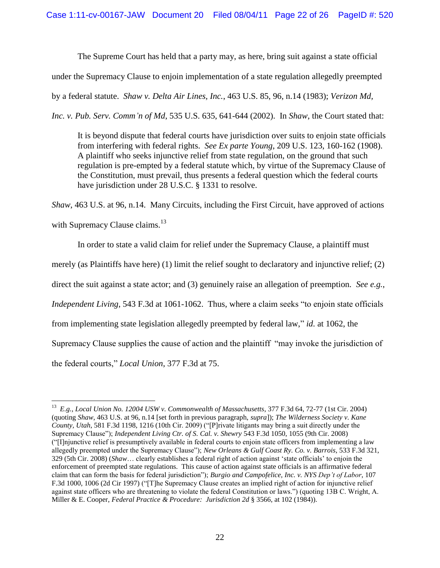The Supreme Court has held that a party may, as here, bring suit against a state official

under the Supremacy Clause to enjoin implementation of a state regulation allegedly preempted

by a federal statute. *Shaw v. Delta Air Lines, Inc.*, 463 U.S. 85, 96, n.14 (1983); *Verizon Md,* 

*Inc. v. Pub. Serv. Comm'n of Md*, 535 U.S. 635, 641-644 (2002). In *Shaw*, the Court stated that:

It is beyond dispute that federal courts have jurisdiction over suits to enjoin state officials from interfering with federal rights. *See Ex parte Young*, 209 U.S. 123, 160-162 (1908). A plaintiff who seeks injunctive relief from state regulation, on the ground that such regulation is pre-empted by a federal statute which, by virtue of the Supremacy Clause of the Constitution, must prevail, thus presents a federal question which the federal courts have jurisdiction under 28 U.S.C. § 1331 to resolve.

*Shaw*, 463 U.S. at 96, n.14. Many Circuits, including the First Circuit, have approved of actions with Supremacy Clause claims.<sup>13</sup>

In order to state a valid claim for relief under the Supremacy Clause, a plaintiff must

merely (as Plaintiffs have here) (1) limit the relief sought to declaratory and injunctive relief; (2)

direct the suit against a state actor; and (3) genuinely raise an allegation of preemption. *See e.g.*,

*Independent Living*, 543 F.3d at 1061-1062. Thus, where a claim seeks "to enjoin state officials

from implementing state legislation allegedly preempted by federal law," *id.* at 1062, the

Supremacy Clause supplies the cause of action and the plaintiff "may invoke the jurisdiction of

the federal courts," *Local Union*, 377 F.3d at 75.

<sup>13</sup> *E.g.*, *Local Union No. 12004 USW v. Commonwealth of Massachusetts*, 377 F.3d 64, 72-77 (1st Cir. 2004) (quoting *Shaw*, 463 U.S. at 96, n.14 [set forth in previous paragraph, *supra*]); *The Wilderness Society v. Kane County, Utah*, 581 F.3d 1198, 1216 (10th Cir. 2009) ("[P]rivate litigants may bring a suit directly under the Supremacy Clause‖); *Independent Living Ctr. of S. Cal. v. Shewry* 543 F.3d 1050, 1055 (9th Cir. 2008) (―[I]njunctive relief is presumptively available in federal courts to enjoin state officers from implementing a law allegedly preempted under the Supremacy Clause"); *New Orleans & Gulf Coast Ry. Co. v. Barrois*, 533 F.3d 321, 329 (5th Cir. 2008) (*Shaw*… clearly establishes a federal right of action against ‗state officials' to enjoin the enforcement of preempted state regulations. This cause of action against state officials is an affirmative federal claim that can form the basis for federal jurisdiction‖); *Burgio and Campofelice, Inc. v. NYS Dep't of Labor*, 107 F.3d 1000, 1006 (2d Cir 1997) ("[T]he Supremacy Clause creates an implied right of action for injunctive relief against state officers who are threatening to violate the federal Constitution or laws.‖) (quoting 13B C. Wright, A. Miller & E. Cooper, *Federal Practice & Procedure: Jurisdiction 2d* § 3566, at 102 (1984)).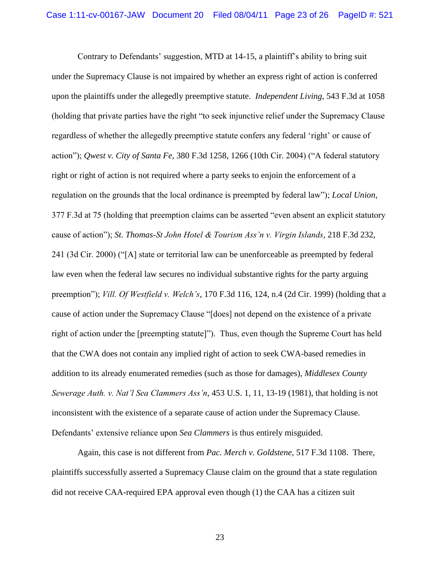Contrary to Defendants' suggestion, MTD at 14-15, a plaintiff's ability to bring suit under the Supremacy Clause is not impaired by whether an express right of action is conferred upon the plaintiffs under the allegedly preemptive statute. *Independent Living*, 543 F.3d at 1058 (holding that private parties have the right "to seek injunctive relief under the Supremacy Clause") regardless of whether the allegedly preemptive statute confers any federal 'right' or cause of action"); *Qwest v. City of Santa Fe*, 380 F.3d 1258, 1266 (10th Cir. 2004) ("A federal statutory right or right of action is not required where a party seeks to enjoin the enforcement of a regulation on the grounds that the local ordinance is preempted by federal law‖); *Local Union*,  $377$  F.3d at 75 (holding that preemption claims can be asserted "even absent an explicit statutory" cause of action‖); *St. Thomas-St John Hotel & Tourism Ass'n v. Virgin Islands*, 218 F.3d 232, 241 (3d Cir. 2000) ("[A] state or territorial law can be unenforceable as preempted by federal law even when the federal law secures no individual substantive rights for the party arguing preemption"); *Vill. Of Westfield v. Welch's*, 170 F.3d 116, 124, n.4 (2d Cir. 1999) (holding that a cause of action under the Supremacy Clause "[does] not depend on the existence of a private right of action under the [preempting statute]"). Thus, even though the Supreme Court has held that the CWA does not contain any implied right of action to seek CWA-based remedies in addition to its already enumerated remedies (such as those for damages), *Middlesex County Sewerage Auth. v. Nat'l Sea Clammers Ass'n*, 453 U.S. 1, 11, 13-19 (1981), that holding is not inconsistent with the existence of a separate cause of action under the Supremacy Clause. Defendants' extensive reliance upon *Sea Clammers* is thus entirely misguided.

Again, this case is not different from *Pac. Merch v. Goldstene*, 517 F.3d 1108. There, plaintiffs successfully asserted a Supremacy Clause claim on the ground that a state regulation did not receive CAA-required EPA approval even though (1) the CAA has a citizen suit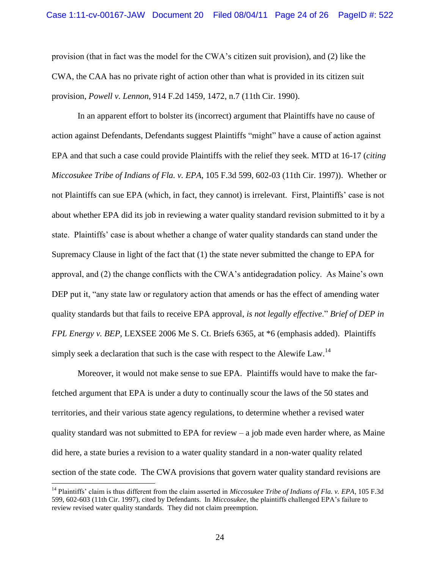provision (that in fact was the model for the CWA's citizen suit provision), and (2) like the CWA, the CAA has no private right of action other than what is provided in its citizen suit provision, *Powell v. Lennon*, 914 F.2d 1459, 1472, n.7 (11th Cir. 1990).

In an apparent effort to bolster its (incorrect) argument that Plaintiffs have no cause of action against Defendants, Defendants suggest Plaintiffs "might" have a cause of action against EPA and that such a case could provide Plaintiffs with the relief they seek. MTD at 16-17 (*citing Miccosukee Tribe of Indians of Fla. v. EPA*, 105 F.3d 599, 602-03 (11th Cir. 1997)). Whether or not Plaintiffs can sue EPA (which, in fact, they cannot) is irrelevant. First, Plaintiffs' case is not about whether EPA did its job in reviewing a water quality standard revision submitted to it by a state. Plaintiffs' case is about whether a change of water quality standards can stand under the Supremacy Clause in light of the fact that (1) the state never submitted the change to EPA for approval, and (2) the change conflicts with the CWA's antidegradation policy. As Maine's own DEP put it, "any state law or regulatory action that amends or has the effect of amending water quality standards but that fails to receive EPA approval, *is not legally effective*.‖ *Brief of DEP in FPL Energy v. BEP*, LEXSEE 2006 Me S. Ct. Briefs 6365, at \*6 (emphasis added). Plaintiffs simply seek a declaration that such is the case with respect to the Alewife Law.<sup>14</sup>

Moreover, it would not make sense to sue EPA. Plaintiffs would have to make the farfetched argument that EPA is under a duty to continually scour the laws of the 50 states and territories, and their various state agency regulations, to determine whether a revised water quality standard was not submitted to EPA for review  $-$  a job made even harder where, as Maine did here, a state buries a revision to a water quality standard in a non-water quality related section of the state code. The CWA provisions that govern water quality standard revisions are

<sup>14</sup> Plaintiffs' claim is thus different from the claim asserted in *Miccosukee Tribe of Indians of Fla. v. EPA*, 105 F.3d 599, 602-603 (11th Cir. 1997), cited by Defendants. In *Miccosukee*, the plaintiffs challenged EPA's failure to review revised water quality standards. They did not claim preemption.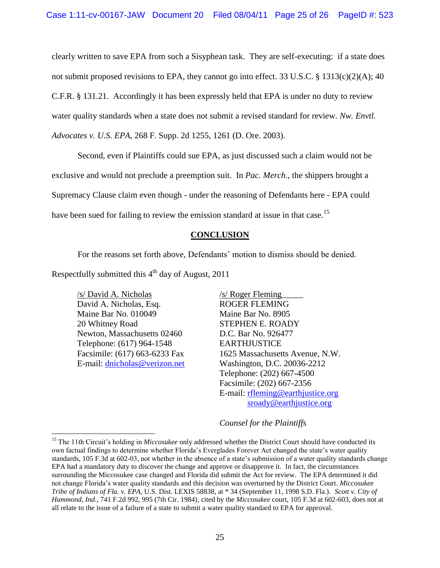clearly written to save EPA from such a Sisyphean task. They are self-executing: if a state does not submit proposed revisions to EPA, they cannot go into effect. 33 U.S.C.  $\S$  1313(c)(2)(A); 40 C.F.R. § 131.21. Accordingly it has been expressly held that EPA is under no duty to review water quality standards when a state does not submit a revised standard for review. *Nw. Envtl. Advocates v. U.S. EPA*, 268 F. Supp. 2d 1255, 1261 (D. Ore. 2003).

Second, even if Plaintiffs could sue EPA, as just discussed such a claim would not be exclusive and would not preclude a preemption suit. In *Pac. Merch.*, the shippers brought a Supremacy Clause claim even though - under the reasoning of Defendants here - EPA could have been sued for failing to review the emission standard at issue in that case.<sup>15</sup>

## **CONCLUSION**

For the reasons set forth above, Defendants' motion to dismiss should be denied.

Respectfully submitted this  $4<sup>th</sup>$  day of August, 2011

/s/ David A. Nicholas David A. Nicholas, Esq. Maine Bar No. 010049 20 Whitney Road Newton, Massachusetts 02460 Telephone: (617) 964-1548 Facsimile: (617) 663-6233 Fax E-mail: [dnicholas@verizon.net](mailto:dnicholas@verizon.net)

 $\overline{a}$ 

/s/ Roger Fleming\_\_\_\_\_ ROGER FLEMING Maine Bar No. 8905 STEPHEN E. ROADY D.C. Bar No. 926477 EARTHJUSTICE 1625 Massachusetts Avenue, N.W. Washington, D.C. 20036-2212 Telephone: (202) 667-4500 Facsimile: (202) 667-2356 E-mail: [rfleming@earthjustice.org](mailto:rfleming@earthjustice.org) [sroady@earthjustice.org](mailto:sroady@earthjustice.org)

#### *Counsel for the Plaintiffs*

<sup>&</sup>lt;sup>15</sup> The 11th Circuit's holding in *Miccosukee* only addressed whether the District Court should have conducted its own factual findings to determine whether Florida's Everglades Forever Act changed the state's water quality standards, 105 F.3d at 602-03, not whether in the absence of a state's submission of a water quality standards change EPA had a mandatory duty to discover the change and approve or disapprove it. In fact, the circumstances surrounding the Miccosukee case changed and Florida did submit the Act for review. The EPA determined it did not change Florida's water quality standards and this decision was overturned by the District Court. *Miccosukee Tribe of Indians of Fla. v. EPA,* U.S. Dist. LEXIS 58838, at \* 34 (September 11, 1998 S.D. Fla.). *Scott v. City of Hammond, Ind.*, 741 F.2d 992, 995 (7th Cir. 1984), cited by the *Miccosukee* court, 105 F.3d at 602-603, does not at all relate to the issue of a failure of a state to submit a water quality standard to EPA for approval.